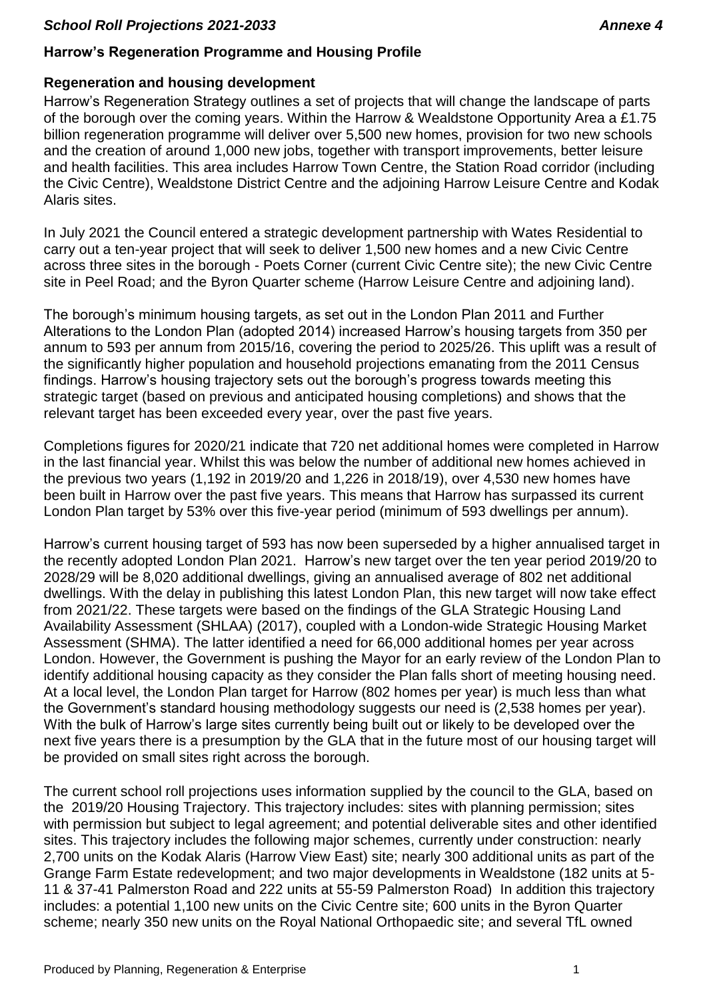# **Harrow's Regeneration Programme and Housing Profile**

### **Regeneration and housing development**

Harrow's Regeneration Strategy outlines a set of projects that will change the landscape of parts of the borough over the coming years. Within the Harrow & Wealdstone Opportunity Area a £1.75 billion regeneration programme will deliver over 5,500 new homes, provision for two new schools and the creation of around 1,000 new jobs, together with transport improvements, better leisure and health facilities. This area includes Harrow Town Centre, the Station Road corridor (including the Civic Centre), Wealdstone District Centre and the adjoining Harrow Leisure Centre and Kodak Alaris sites.

In July 2021 the Council entered a strategic development partnership with Wates Residential to carry out a ten-year project that will seek to deliver 1,500 new homes and a new Civic Centre across three sites in the borough - Poets Corner (current Civic Centre site); the new Civic Centre site in Peel Road; and the Byron Quarter scheme (Harrow Leisure Centre and adjoining land).

The borough's minimum housing targets, as set out in the London Plan 2011 and Further Alterations to the London Plan (adopted 2014) increased Harrow's housing targets from 350 per annum to 593 per annum from 2015/16, covering the period to 2025/26. This uplift was a result of the significantly higher population and household projections emanating from the 2011 Census findings. Harrow's housing trajectory sets out the borough's progress towards meeting this strategic target (based on previous and anticipated housing completions) and shows that the relevant target has been exceeded every year, over the past five years.

Completions figures for 2020/21 indicate that 720 net additional homes were completed in Harrow in the last financial year. Whilst this was below the number of additional new homes achieved in the previous two years (1,192 in 2019/20 and 1,226 in 2018/19), over 4,530 new homes have been built in Harrow over the past five years. This means that Harrow has surpassed its current London Plan target by 53% over this five-year period (minimum of 593 dwellings per annum).

Harrow's current housing target of 593 has now been superseded by a higher annualised target in the recently adopted London Plan 2021. Harrow's new target over the ten year period 2019/20 to 2028/29 will be 8,020 additional dwellings, giving an annualised average of 802 net additional dwellings. With the delay in publishing this latest London Plan, this new target will now take effect from 2021/22. These targets were based on the findings of the GLA Strategic Housing Land Availability Assessment (SHLAA) (2017), coupled with a London-wide Strategic Housing Market Assessment (SHMA). The latter identified a need for 66,000 additional homes per year across London. However, the Government is pushing the Mayor for an early review of the London Plan to identify additional housing capacity as they consider the Plan falls short of meeting housing need. At a local level, the London Plan target for Harrow (802 homes per year) is much less than what the Government's standard housing methodology suggests our need is (2,538 homes per year). With the bulk of Harrow's large sites currently being built out or likely to be developed over the next five years there is a presumption by the GLA that in the future most of our housing target will be provided on small sites right across the borough.

The current school roll projections uses information supplied by the council to the GLA, based on the 2019/20 Housing Trajectory. This trajectory includes: sites with planning permission; sites with permission but subject to legal agreement; and potential deliverable sites and other identified sites. This trajectory includes the following major schemes, currently under construction: nearly 2,700 units on the Kodak Alaris (Harrow View East) site; nearly 300 additional units as part of the Grange Farm Estate redevelopment; and two major developments in Wealdstone (182 units at 5- 11 & 37-41 Palmerston Road and 222 units at 55-59 Palmerston Road) In addition this trajectory includes: a potential 1,100 new units on the Civic Centre site; 600 units in the Byron Quarter scheme; nearly 350 new units on the Royal National Orthopaedic site; and several TfL owned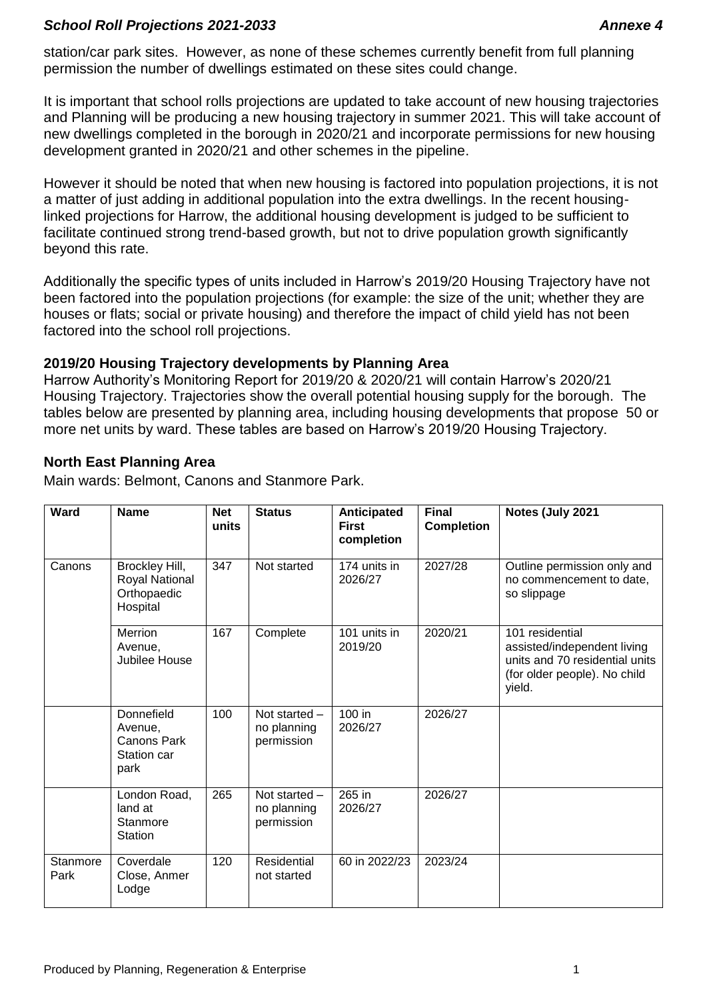station/car park sites. However, as none of these schemes currently benefit from full planning permission the number of dwellings estimated on these sites could change.

It is important that school rolls projections are updated to take account of new housing trajectories and Planning will be producing a new housing trajectory in summer 2021. This will take account of new dwellings completed in the borough in 2020/21 and incorporate permissions for new housing development granted in 2020/21 and other schemes in the pipeline.

However it should be noted that when new housing is factored into population projections, it is not a matter of just adding in additional population into the extra dwellings. In the recent housinglinked projections for Harrow, the additional housing development is judged to be sufficient to facilitate continued strong trend-based growth, but not to drive population growth significantly beyond this rate.

Additionally the specific types of units included in Harrow's 2019/20 Housing Trajectory have not been factored into the population projections (for example: the size of the unit; whether they are houses or flats; social or private housing) and therefore the impact of child yield has not been factored into the school roll projections.

#### **2019/20 Housing Trajectory developments by Planning Area**

Harrow Authority's Monitoring Report for 2019/20 & 2020/21 will contain Harrow's 2020/21 Housing Trajectory. Trajectories show the overall potential housing supply for the borough. The tables below are presented by planning area, including housing developments that propose 50 or more net units by ward. These tables are based on Harrow's 2019/20 Housing Trajectory.

# **North East Planning Area**

Main wards: Belmont, Canons and Stanmore Park.

| Ward             | <b>Name</b>                                                 | <b>Net</b><br>units | <b>Status</b>                              | Anticipated<br><b>First</b><br>completion | <b>Final</b><br><b>Completion</b> | Notes (July 2021                                                                                                           |
|------------------|-------------------------------------------------------------|---------------------|--------------------------------------------|-------------------------------------------|-----------------------------------|----------------------------------------------------------------------------------------------------------------------------|
| Canons           | Brockley Hill,<br>Royal National<br>Orthopaedic<br>Hospital | 347                 | Not started                                | 174 units in<br>2026/27                   | 2027/28                           | Outline permission only and<br>no commencement to date,<br>so slippage                                                     |
|                  | Merrion<br>Avenue,<br>Jubilee House                         | 167                 | Complete                                   | 101 units in<br>2019/20                   | 2020/21                           | 101 residential<br>assisted/independent living<br>units and 70 residential units<br>(for older people). No child<br>yield. |
|                  | Donnefield<br>Avenue,<br>Canons Park<br>Station car<br>park | 100                 | Not started -<br>no planning<br>permission | 100 in<br>2026/27                         | 2026/27                           |                                                                                                                            |
|                  | London Road,<br>land at<br>Stanmore<br>Station              | 265                 | Not started -<br>no planning<br>permission | 265 in<br>2026/27                         | 2026/27                           |                                                                                                                            |
| Stanmore<br>Park | Coverdale<br>Close, Anmer<br>Lodge                          | 120                 | Residential<br>not started                 | 60 in 2022/23                             | 2023/24                           |                                                                                                                            |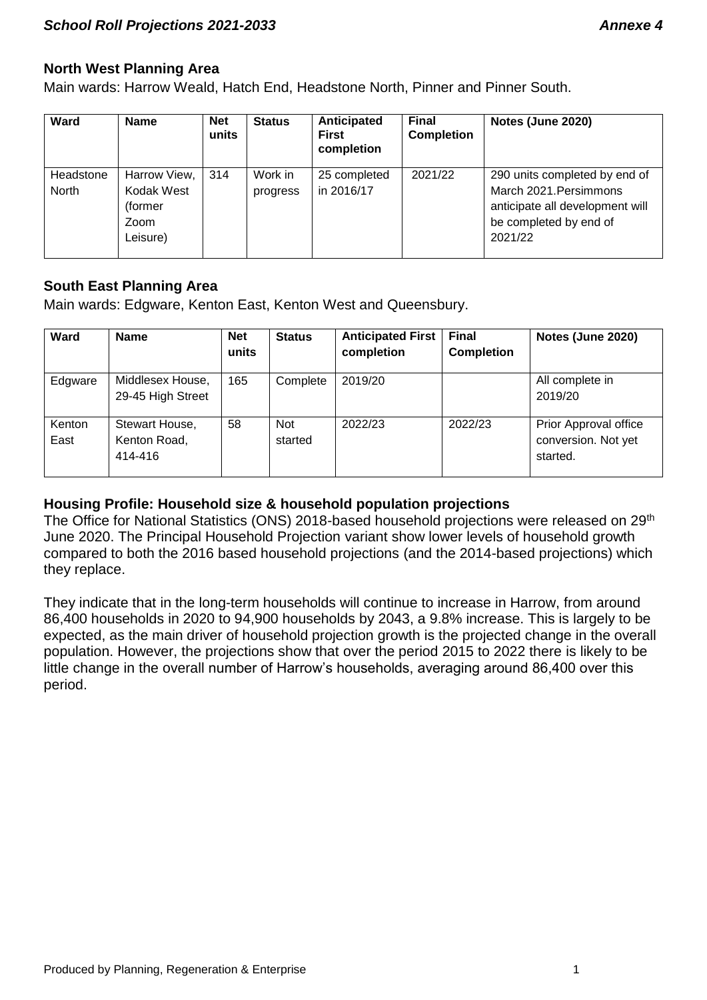# **North West Planning Area**

Main wards: Harrow Weald, Hatch End, Headstone North, Pinner and Pinner South.

| <b>Ward</b>        | <b>Name</b>                                                | <b>Net</b><br>units | <b>Status</b>       | Anticipated<br><b>First</b><br>completion | <b>Final</b><br><b>Completion</b> | Notes (June 2020)                                                                                                               |
|--------------------|------------------------------------------------------------|---------------------|---------------------|-------------------------------------------|-----------------------------------|---------------------------------------------------------------------------------------------------------------------------------|
| Headstone<br>North | Harrow View,<br>Kodak West<br>(former)<br>Zoom<br>Leisure) | 314                 | Work in<br>progress | 25 completed<br>in 2016/17                | 2021/22                           | 290 units completed by end of<br>March 2021. Persimmons<br>anticipate all development will<br>be completed by end of<br>2021/22 |

# **South East Planning Area**

Main wards: Edgware, Kenton East, Kenton West and Queensbury.

| <b>Ward</b>    | <b>Name</b>                               | <b>Net</b><br>units | <b>Status</b>         | <b>Anticipated First</b><br>completion | Final<br><b>Completion</b> | Notes (June 2020)                                        |
|----------------|-------------------------------------------|---------------------|-----------------------|----------------------------------------|----------------------------|----------------------------------------------------------|
| Edgware        | Middlesex House,<br>29-45 High Street     | 165                 | Complete              | 2019/20                                |                            | All complete in<br>2019/20                               |
| Kenton<br>East | Stewart House,<br>Kenton Road,<br>414-416 | 58                  | <b>Not</b><br>started | 2022/23                                | 2022/23                    | Prior Approval office<br>conversion. Not yet<br>started. |

# **Housing Profile: Household size & household population projections**

The Office for National Statistics (ONS) 2018-based household projections were released on 29<sup>th</sup> June 2020. The Principal Household Projection variant show lower levels of household growth compared to both the 2016 based household projections (and the 2014-based projections) which they replace.

They indicate that in the long-term households will continue to increase in Harrow, from around 86,400 households in 2020 to 94,900 households by 2043, a 9.8% increase. This is largely to be expected, as the main driver of household projection growth is the projected change in the overall population. However, the projections show that over the period 2015 to 2022 there is likely to be little change in the overall number of Harrow's households, averaging around 86,400 over this period.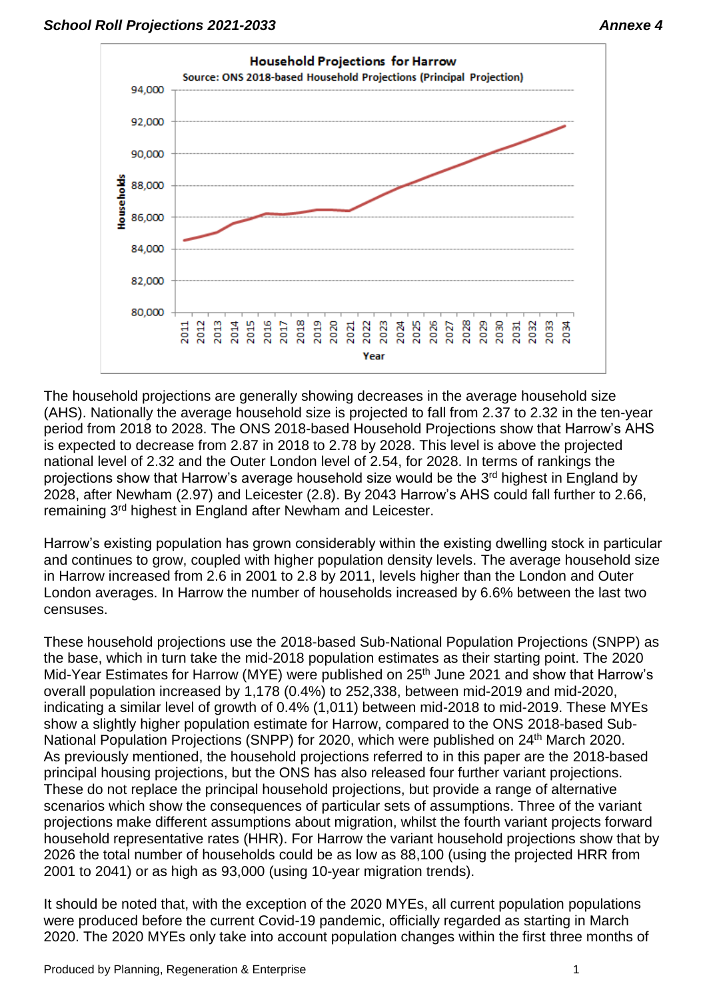

The household projections are generally showing decreases in the average household size (AHS). Nationally the average household size is projected to fall from 2.37 to 2.32 in the ten-year period from 2018 to 2028. The ONS 2018-based Household Projections show that Harrow's AHS is expected to decrease from 2.87 in 2018 to 2.78 by 2028. This level is above the projected national level of 2.32 and the Outer London level of 2.54, for 2028. In terms of rankings the projections show that Harrow's average household size would be the 3<sup>rd</sup> highest in England by 2028, after Newham (2.97) and Leicester (2.8). By 2043 Harrow's AHS could fall further to 2.66, remaining 3<sup>rd</sup> highest in England after Newham and Leicester.

Harrow's existing population has grown considerably within the existing dwelling stock in particular and continues to grow, coupled with higher population density levels. The average household size in Harrow increased from 2.6 in 2001 to 2.8 by 2011, levels higher than the London and Outer London averages. In Harrow the number of households increased by 6.6% between the last two censuses.

These household projections use the 2018-based Sub-National Population Projections (SNPP) as the base, which in turn take the mid-2018 population estimates as their starting point. The 2020 Mid-Year Estimates for Harrow (MYE) were published on 25<sup>th</sup> June 2021 and show that Harrow's overall population increased by 1,178 (0.4%) to 252,338, between mid-2019 and mid-2020, indicating a similar level of growth of 0.4% (1,011) between mid-2018 to mid-2019. These MYEs show a slightly higher population estimate for Harrow, compared to the ONS 2018-based Sub-National Population Projections (SNPP) for 2020, which were published on 24<sup>th</sup> March 2020. As previously mentioned, the household projections referred to in this paper are the 2018-based principal housing projections, but the ONS has also released four further variant projections. These do not replace the principal household projections, but provide a range of alternative scenarios which show the consequences of particular sets of assumptions. Three of the variant projections make different assumptions about migration, whilst the fourth variant projects forward household representative rates (HHR). For Harrow the variant household projections show that by 2026 the total number of households could be as low as 88,100 (using the projected HRR from 2001 to 2041) or as high as 93,000 (using 10-year migration trends).

It should be noted that, with the exception of the 2020 MYEs, all current population populations were produced before the current Covid-19 pandemic, officially regarded as starting in March 2020. The 2020 MYEs only take into account population changes within the first three months of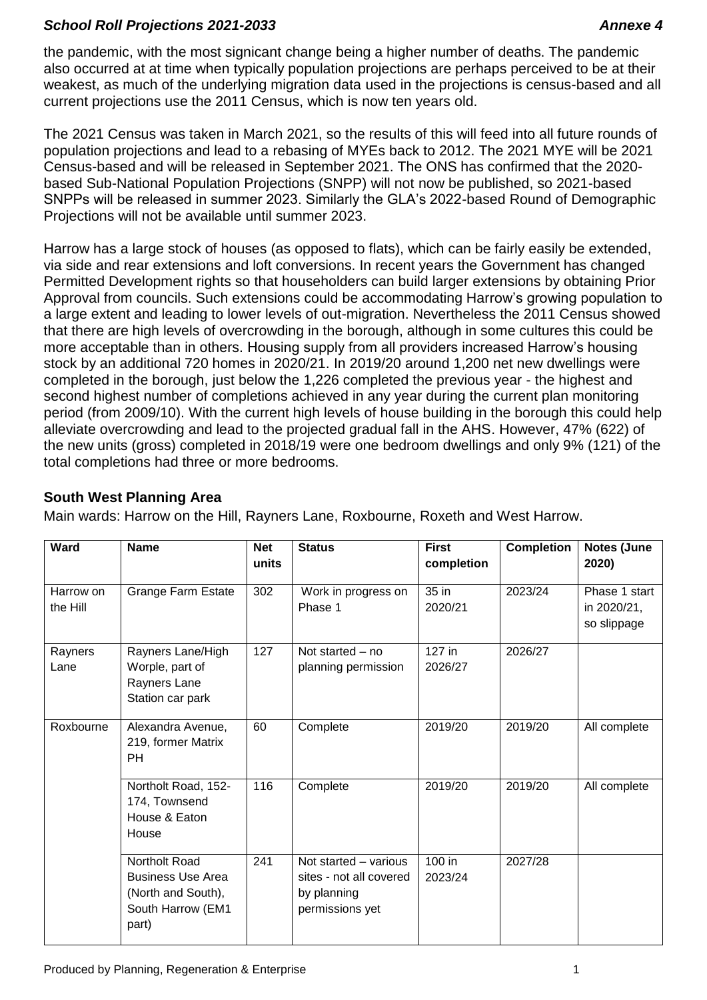the pandemic, with the most signicant change being a higher number of deaths. The pandemic also occurred at at time when typically population projections are perhaps perceived to be at their weakest, as much of the underlying migration data used in the projections is census-based and all current projections use the 2011 Census, which is now ten years old.

The 2021 Census was taken in March 2021, so the results of this will feed into all future rounds of population projections and lead to a rebasing of MYEs back to 2012. The 2021 MYE will be 2021 Census-based and will be released in September 2021. The ONS has confirmed that the 2020 based Sub-National Population Projections (SNPP) will not now be published, so 2021-based SNPPs will be released in summer 2023. Similarly the GLA's 2022-based Round of Demographic Projections will not be available until summer 2023.

Harrow has a large stock of houses (as opposed to flats), which can be fairly easily be extended, via side and rear extensions and loft conversions. In recent years the Government has changed Permitted Development rights so that householders can build larger extensions by obtaining Prior Approval from councils. Such extensions could be accommodating Harrow's growing population to a large extent and leading to lower levels of out-migration. Nevertheless the 2011 Census showed that there are high levels of overcrowding in the borough, although in some cultures this could be more acceptable than in others. Housing supply from all providers increased Harrow's housing stock by an additional 720 homes in 2020/21. In 2019/20 around 1,200 net new dwellings were completed in the borough, just below the 1,226 completed the previous year - the highest and second highest number of completions achieved in any year during the current plan monitoring period (from 2009/10). With the current high levels of house building in the borough this could help alleviate overcrowding and lead to the projected gradual fall in the AHS. However, 47% (622) of the new units (gross) completed in 2018/19 were one bedroom dwellings and only 9% (121) of the total completions had three or more bedrooms.

# **South West Planning Area**

Main wards: Harrow on the Hill, Rayners Lane, Roxbourne, Roxeth and West Harrow.

| <b>Ward</b>           | <b>Name</b>                                                                                   | <b>Net</b><br>units | <b>Status</b>                                                                      | <b>First</b><br>completion | <b>Completion</b> | Notes (June<br>2020)                        |
|-----------------------|-----------------------------------------------------------------------------------------------|---------------------|------------------------------------------------------------------------------------|----------------------------|-------------------|---------------------------------------------|
| Harrow on<br>the Hill | <b>Grange Farm Estate</b>                                                                     | 302                 | Work in progress on<br>Phase 1                                                     | 35 in<br>2020/21           | 2023/24           | Phase 1 start<br>in 2020/21,<br>so slippage |
| Rayners<br>Lane       | Rayners Lane/High<br>Worple, part of<br>Rayners Lane<br>Station car park                      | 127                 | Not started – no<br>planning permission                                            | 127 in<br>2026/27          | 2026/27           |                                             |
| Roxbourne             | Alexandra Avenue,<br>219, former Matrix<br><b>PH</b>                                          | 60                  | Complete                                                                           | 2019/20                    | 2019/20           | All complete                                |
|                       | Northolt Road, 152-<br>174, Townsend<br>House & Eaton<br>House                                | 116                 | Complete                                                                           | 2019/20                    | 2019/20           | All complete                                |
|                       | Northolt Road<br><b>Business Use Area</b><br>(North and South),<br>South Harrow (EM1<br>part) | 241                 | Not started - various<br>sites - not all covered<br>by planning<br>permissions yet | 100 in<br>2023/24          | 2027/28           |                                             |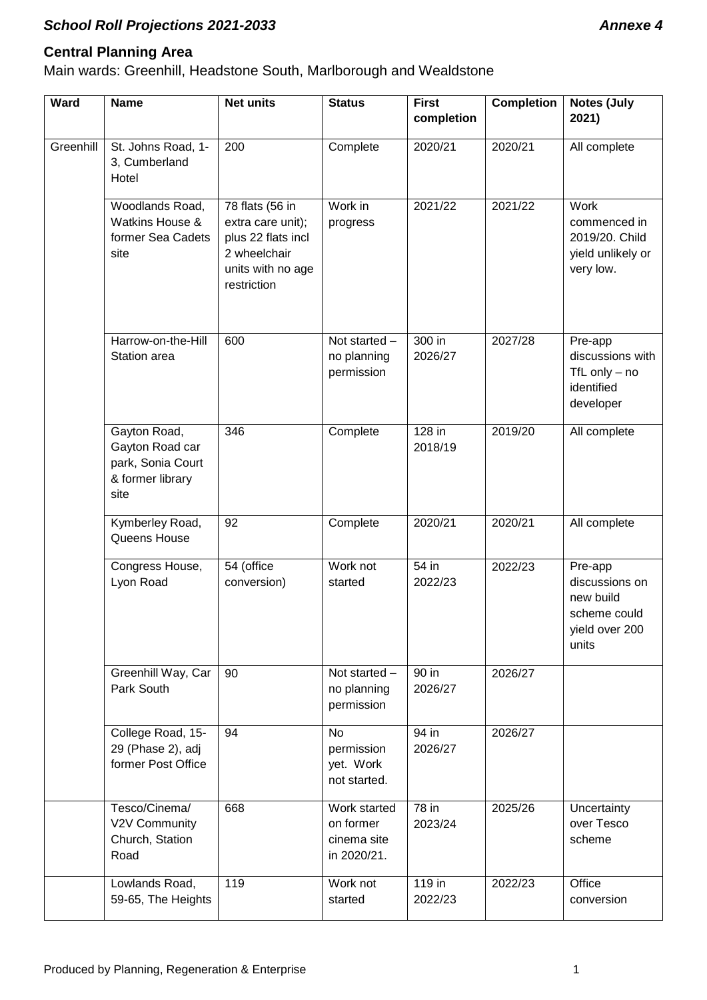# **Central Planning Area**

Main wards: Greenhill, Headstone South, Marlborough and Wealdstone

| <b>Ward</b> | <b>Name</b>                                                                      | <b>Net units</b>                                                                                               | <b>Status</b>                                           | <b>First</b><br>completion | <b>Completion</b> | <b>Notes (July</b><br>2021)                                                       |
|-------------|----------------------------------------------------------------------------------|----------------------------------------------------------------------------------------------------------------|---------------------------------------------------------|----------------------------|-------------------|-----------------------------------------------------------------------------------|
| Greenhill   | St. Johns Road, 1-<br>3, Cumberland<br>Hotel                                     | 200                                                                                                            | Complete                                                | 2020/21                    | 2020/21           | All complete                                                                      |
|             | Woodlands Road,<br>Watkins House &<br>former Sea Cadets<br>site                  | 78 flats (56 in<br>extra care unit);<br>plus 22 flats incl<br>2 wheelchair<br>units with no age<br>restriction | Work in<br>progress                                     | 2021/22                    | 2021/22           | Work<br>commenced in<br>2019/20. Child<br>yield unlikely or<br>very low.          |
|             | Harrow-on-the-Hill<br>Station area                                               | 600                                                                                                            | Not started -<br>no planning<br>permission              | 300 in<br>2026/27          | 2027/28           | Pre-app<br>discussions with<br>TfL only $-$ no<br>identified<br>developer         |
|             | Gayton Road,<br>Gayton Road car<br>park, Sonia Court<br>& former library<br>site | 346                                                                                                            | Complete                                                | 128 in<br>2018/19          | 2019/20           | All complete                                                                      |
|             | Kymberley Road,<br>Queens House                                                  | 92                                                                                                             | Complete                                                | 2020/21                    | 2020/21           | All complete                                                                      |
|             | Congress House,<br>Lyon Road                                                     | 54 (office<br>conversion)                                                                                      | Work not<br>started                                     | 54 in<br>2022/23           | 2022/23           | Pre-app<br>discussions on<br>new build<br>scheme could<br>yield over 200<br>units |
|             | Greenhill Way, Car<br>Park South                                                 | 90                                                                                                             | Not started -<br>no planning<br>permission              | 90 in<br>2026/27           | 2026/27           |                                                                                   |
|             | College Road, 15-<br>29 (Phase 2), adj<br>former Post Office                     | 94                                                                                                             | <b>No</b><br>permission<br>yet. Work<br>not started.    | 94 in<br>2026/27           | 2026/27           |                                                                                   |
|             | Tesco/Cinema/<br>V2V Community<br>Church, Station<br>Road                        | 668                                                                                                            | Work started<br>on former<br>cinema site<br>in 2020/21. | 78 in<br>2023/24           | 2025/26           | Uncertainty<br>over Tesco<br>scheme                                               |
|             | Lowlands Road,<br>59-65, The Heights                                             | 119                                                                                                            | Work not<br>started                                     | $119$ in<br>2022/23        | 2022/23           | Office<br>conversion                                                              |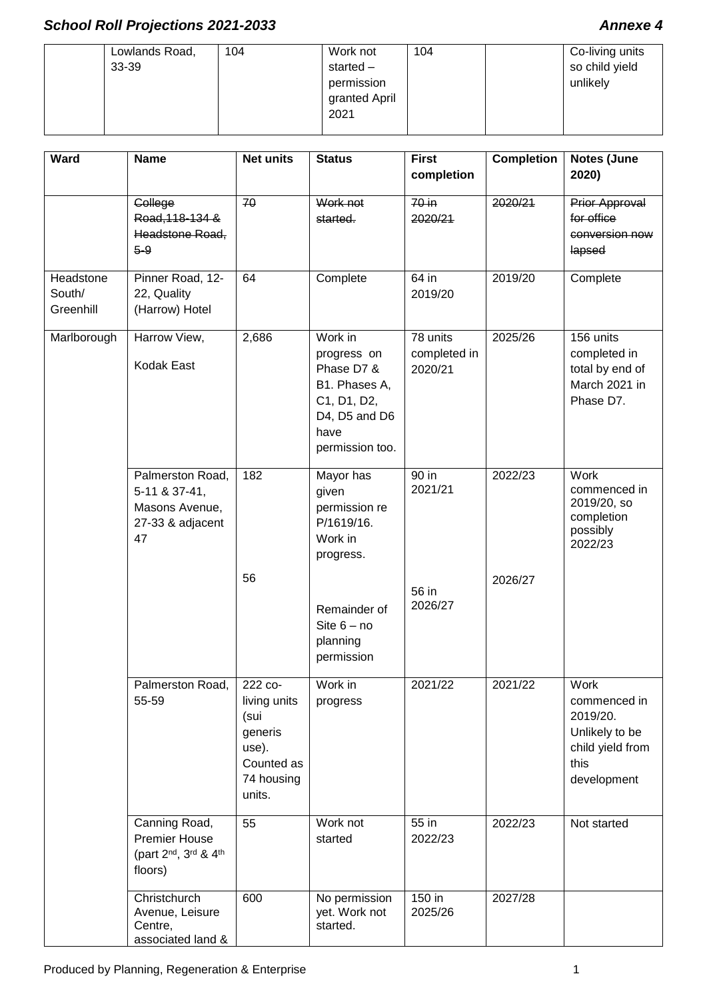#### Lowlands Road, 33-39 104 Work not started – permission granted April 2021 104 Co-living units so child yield unlikely

| Ward                             | <b>Name</b>                                                                   | <b>Net units</b>                                                                          | <b>Status</b>                                                                                                    | <b>First</b><br>completion          | <b>Completion</b> | Notes (June<br>2020)                                                                          |
|----------------------------------|-------------------------------------------------------------------------------|-------------------------------------------------------------------------------------------|------------------------------------------------------------------------------------------------------------------|-------------------------------------|-------------------|-----------------------------------------------------------------------------------------------|
|                                  | College<br>Road, 118-134 &<br>Headstone Road,<br>$5 - 9$                      | 70                                                                                        | Work not<br>started.                                                                                             | 70 in<br>2020/21                    | 2020/21           | Prior Approval<br>for office<br>conversion now<br>lapsed                                      |
| Headstone<br>South/<br>Greenhill | Pinner Road, 12-<br>22, Quality<br>(Harrow) Hotel                             | 64                                                                                        | Complete                                                                                                         | 64 in<br>2019/20                    | 2019/20           | Complete                                                                                      |
| Marlborough                      | Harrow View,<br><b>Kodak East</b>                                             | 2,686                                                                                     | Work in<br>progress on<br>Phase D7 &<br>B1. Phases A,<br>C1, D1, D2,<br>D4, D5 and D6<br>have<br>permission too. | 78 units<br>completed in<br>2020/21 | 2025/26           | 156 units<br>completed in<br>total by end of<br>March 2021 in<br>Phase D7.                    |
|                                  | Palmerston Road,<br>5-11 & 37-41,<br>Masons Avenue,<br>27-33 & adjacent<br>47 | 182                                                                                       | Mayor has<br>given<br>permission re<br>P/1619/16.<br>Work in<br>progress.                                        | 90 in<br>2021/21                    | 2022/23           | Work<br>commenced in<br>2019/20, so<br>completion<br>possibly<br>2022/23                      |
|                                  |                                                                               | 56                                                                                        | Remainder of<br>Site $6 - no$<br>planning<br>permission                                                          | 56 in<br>2026/27                    | 2026/27           |                                                                                               |
|                                  | Palmerston Road,<br>55-59                                                     | 222 co-<br>living units<br>(sui<br>generis<br>use).<br>Counted as<br>74 housing<br>units. | Work in<br>progress                                                                                              | 2021/22                             | 2021/22           | Work<br>commenced in<br>2019/20.<br>Unlikely to be<br>child yield from<br>this<br>development |
|                                  | Canning Road,<br><b>Premier House</b><br>(part 2nd, 3rd & 4th<br>floors)      | 55                                                                                        | Work not<br>started                                                                                              | 55 in<br>2022/23                    | 2022/23           | Not started                                                                                   |
|                                  | Christchurch<br>Avenue, Leisure<br>Centre,<br>associated land &               | 600                                                                                       | No permission<br>yet. Work not<br>started.                                                                       | 150 in<br>2025/26                   | 2027/28           |                                                                                               |